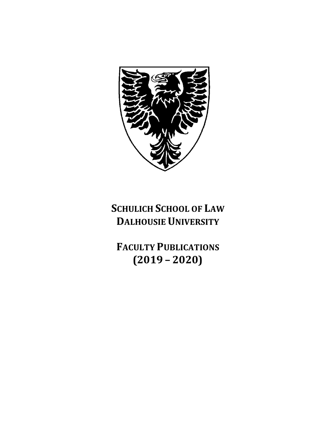

# **SCHULICH SCHOOL OF LAW DALHOUSIE UNIVERSITY**

**FACULTY PUBLICATIONS (2019 – 2020)**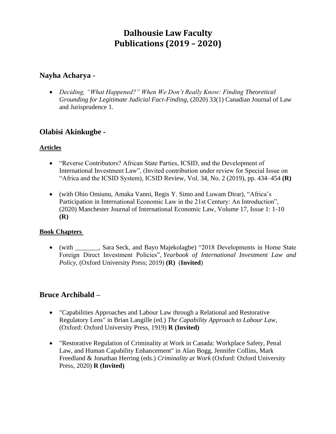# **Dalhousie Law Faculty Publications (2019 – 2020)**

### **Nayha Acharya -**

• *Deciding, "What Happened?" When We Don't Really Know: Finding Theoretical Grounding for Legitimate Judicial Fact-Finding*, (2020) 33(1) Canadian Journal of Law and Jurisprudence 1.

# **Olabisi Akinkugbe -**

### **Articles**

- "Reverse Contributors? African State Parties, ICSID, and the Development of International Investment Law", (Invited contribution under review for Special Issue on "Africa and the ICSID System), ICSID Review, Vol. 34, No. 2 (2019), pp. 434–454 **(R)**
- (with Ohio Omiunu, Amaka Vanni, Regis Y. Simo and Luwam Dirar), "Africa's Participation in International Economic Law in the 21st Century: An Introduction", (2020) Manchester Journal of International Economic Law, Volume 17, Issue 1: 1-10 **(R)**

#### **Book Chapters**

• (with , Sara Seck, and Bayo Majekolagbe) "2018 Developments in Home State Foreign Direct Investment Policies", *Yearbook of International Investment Law and Policy,* (Oxford University Press; 2019) **(R)** (**Invited**)

# **Bruce Archibald –**

- "Capabilities Approaches and Labour Law through a Relational and Restorative Regulatory Lens" in Brian Langille (ed.) *The Capability Approach to Labour Law,*  (Oxford: Oxford University Press, 1919) **R (Invited)**
- "Restorative Regulation of Criminality at Work in Canada: Workplace Safety, Penal Law, and Human Capability Enhancement" in Alan Bogg, Jennifer Collins, Mark Freedland & Jonathan Herring (eds.) *Criminality at Work* (Oxford: Oxford University Press, 2020) **R (Invited)**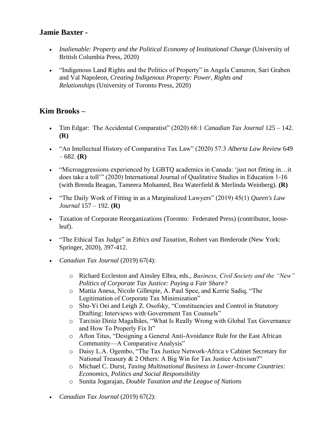# **Jamie Baxter -**

- *Inalienable: Property and the Political Economy of Institutional Change* (University of British Columbia Press, 2020)
- "Indigenous Land Rights and the Politics of Property" in Angela Cameron, Sari Graben and Val Napoleon, *Creating Indigenous Property: Power, Rights and Relationships* (University of Toronto Press, 2020)

# **Kim Brooks –**

- Tim Edgar: The Accidental Comparatist" (2020) 68:1 *Canadian Tax Journal* 125 142. **(R)**
- "An Intellectual History of Comparative Tax Law" (2020) 57:3 *Alberta Law Review* 649 – 682. **(R)**
- "Microaggressions experienced by LGBTQ academics in Canada: 'just not fitting in...it does take a toll'" (2020) International Journal of Qualitative Studies in Education 1-16 (with Brenda Beagan, Tameera Mohamed, Bea Waterfield & Merlinda Weinberg). **(R)**
- "The Daily Work of Fitting in as a Marginalized Lawyers" (2019) 45(1) *Queen's Law Journal* 157 – 192. **(R)**
- Taxation of Corporate Reorganizations (Toronto: Federated Press) (contributor, looseleaf).
- "The Ethical Tax Judge" in *Ethics and Taxation*, Robert van Brederode (New York: Springer, 2020), 397-412.
- *Canadian Tax Journal* (2019) 67(4):
	- o Richard Eccleston and Ainsley Elbra, eds., *Business, Civil Society and the "New" Politics of Corporate Tax Justice: Paying a Fair Share?*
	- o Mattia Anesa, Nicole Gillespie, A. Paul Spee, and Kerrie Sadiq, "The Legitimation of Corporate Tax Minimization"
	- o Shu-Yi Oei and Leigh Z. Osofsky, "Constituencies and Control in Statutory Drafting: Interviews with Government Tax Counsels"
	- o Tarcisio Diniz Magalhães, "What Is Really Wrong with Global Tax Governance and How To Properly Fix It"
	- o Afton Titus, "Designing a General Anti-Avoidance Rule for the East African Community—A Comparative Analysis"
	- o Daisy L.A. Ogembo, "The Tax Justice Network-Africa v Cabinet Secretary for National Treasury & 2 Others: A Big Win for Tax Justice Activism?"
	- o Michael C. Durst, *Taxing Multinational Business in Lower-Income Countries: Economics, Politics and Social Responsibility*
	- o Sunita Jogarajan, *Double Taxation and the League of Nations*
- *Canadian Tax Journal* (2019) 67(2):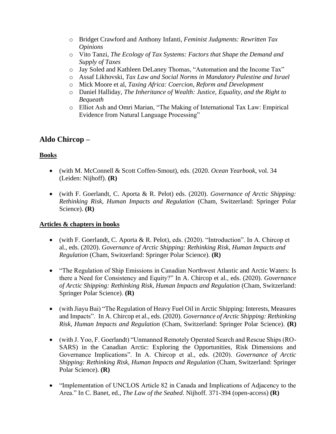- o Bridget Crawford and Anthony Infanti, *Feminist Judgments: Rewritten Tax Opinions*
- o Vito Tanzi, *The Ecology of Tax Systems: Factors that Shape the Demand and Supply of Taxes*
- o Jay Soled and Kathleen DeLaney Thomas, "Automation and the Income Tax"
- o Assaf Likhovski, *Tax Law and Social Norms in Mandatory Palestine and Israel*
- o Mick Moore et al, *Taxing Africa: Coercion, Reform and Development*
- o Daniel Halliday, *The Inheritance of Wealth: Justice, Equality, and the Right to Bequeath*
- o Elliot Ash and Omri Marian, "The Making of International Tax Law: Empirical Evidence from Natural Language Processing"

# **Aldo Chircop –**

### **Books**

- (with M. McConnell & Scott Coffen-Smout), eds. (2020. *Ocean Yearbook*, vol. 34 (Leiden: Nijhoff). **(R)**
- (with F. Goerlandt, C. Aporta & R. Pelot) eds. (2020). *Governance of Arctic Shipping: Rethinking Risk, Human Impacts and Regulation* (Cham, Switzerland: Springer Polar Science). **(R)**

### **Articles & chapters in books**

- (with F. Goerlandt, C. Aporta & R. Pelot), eds. (2020). "Introduction". In A. Chircop et al., eds. (2020). *Governance of Arctic Shipping: Rethinking Risk, Human Impacts and Regulation* (Cham, Switzerland: Springer Polar Science). **(R)**
- "The Regulation of Ship Emissions in Canadian Northwest Atlantic and Arctic Waters: Is there a Need for Consistency and Equity?" In A. Chircop et al., eds. (2020). *Governance of Arctic Shipping: Rethinking Risk, Human Impacts and Regulation* (Cham, Switzerland: Springer Polar Science). **(R)**
- (with Jiayu Bai) "The Regulation of Heavy Fuel Oil in Arctic Shipping: Interests, Measures and Impacts". In A. Chircop et al., eds. (2020). *Governance of Arctic Shipping: Rethinking Risk, Human Impacts and Regulation* (Cham, Switzerland: Springer Polar Science). **(R)**
- (with J. Yoo, F. Goerlandt) "Unmanned Remotely Operated Search and Rescue Ships (RO-SARS) in the Canadian Arctic: Exploring the Opportunities, Risk Dimensions and Governance Implications". In A. Chircop et al., eds. (2020). *Governance of Arctic Shipping: Rethinking Risk, Human Impacts and Regulation* (Cham, Switzerland: Springer Polar Science). **(R)**
- "Implementation of UNCLOS Article 82 in Canada and Implications of Adjacency to the Area." In C. Banet, ed., *The Law of the Seabed*. Nijhoff. 371-394 (open-access) **(R)**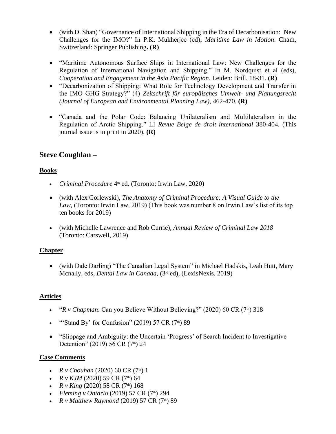- (with D. Shan) "Governance of International Shipping in the Era of Decarbonisation: New Challenges for the IMO?" In P.K. Mukherjee (ed), *Maritime Law in Motion*. Cham, Switzerland: Springer Publishing**. (R)**
- "Maritime Autonomous Surface Ships in International Law: New Challenges for the Regulation of International Navigation and Shipping." In M. Nordquist et al (eds), *Cooperation and Engagement in the Asia Pacific Region*. Leiden: Brill. 18-31. **(R)**
- "Decarbonization of Shipping: What Role for Technology Development and Transfer in the IMO GHG Strategy?" (4) *Zeitschrift für europäisches Umwelt- und Planungsrecht (Journal of European and Environmental Planning Law)*, 462-470. **(R)**
- "Canada and the Polar Code: Balancing Unilateralism and Multilateralism in the Regulation of Arctic Shipping." LI *Revue Belge de droit international* 380-404. (This journal issue is in print in 2020). **(R)**

# **Steve Coughlan –**

### **Books**

- *Criminal Procedure* 4<sup>th</sup> ed. (Toronto: Irwin Law, 2020)
- (with Alex Gorlewski), *The Anatomy of Criminal Procedure: A Visual Guide to the Law*, (Toronto: Irwin Law, 2019) (This book was number 8 on Irwin Law's list of its top ten books for 2019)
- (with Michelle Lawrence and Rob Currie), *Annual Review of Criminal Law 2018* (Toronto: Carswell, 2019)

# **Chapter**

• (with Dale Darling) "The Canadian Legal System" in Michael Hadskis, Leah Hutt, Mary Mcnally, eds, *Dental Law in Canada*, (3rd ed), (LexisNexis, 2019)

# **Articles**

- " $R_V$  Chapman: Can you Believe Without Believing?" (2020) 60 CR (7<sup>th</sup>) 318
- "Stand By' for Confusion" (2019) 57 CR  $(7<sup>th</sup>)$  89
- "Slippage and Ambiguity: the Uncertain 'Progress' of Search Incident to Investigative Detention" (2019) 56 CR (7th) 24

### **Case Comments**

- *R v Chouhan* (2020) 60 CR (7<sup>th</sup>) 1
- *R v KJM* (2020) 59 CR (7<sup>th</sup>) 64
- *R v King* (2020) 58 CR (7<sup>th</sup>) 168
- *Fleming v Ontario* (2019) 57 CR (7<sup>th</sup>) 294
- *R v Matthew Raymond* (2019) 57 CR (7<sup>th</sup>) 89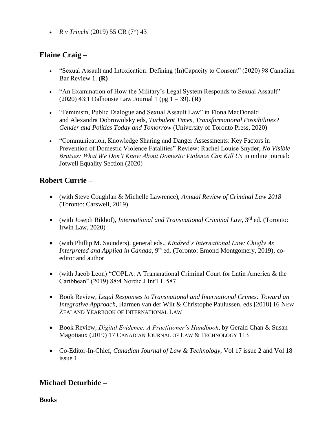•  $R \, \nu$  *Trinchi* (2019) 55 CR (7<sup>th</sup>) 43

# **Elaine Craig –**

- "Sexual Assault and Intoxication: Defining (In)Capacity to Consent" (2020) 98 Canadian Bar Review 1. **(R)**
- "An Examination of How the Military's Legal System Responds to Sexual Assault" (2020) 43:1 Dalhousie Law Journal 1 (pg 1 – 39). **(R)**
- "Feminism, Public Dialogue and Sexual Assault Law" in Fiona MacDonald and Alexandra Dobrowolsky eds, *Turbulent Times, Transformational Possibilities? Gender and Politics Today and Tomorrow* (University of Toronto Press, 2020)
- "Communication, Knowledge Sharing and Danger Assessments: Key Factors in Prevention of Domestic Violence Fatalities" Review: Rachel Louise Snyder, *No Visible Bruises: What We Don't Know About Domestic Violence Can Kill Us* in online journal: Jotwell Equality Section (2020)

# **Robert Currie –**

- (with Steve Coughlan & Michelle Lawrence), *Annual Review of Criminal Law 2018* (Toronto: Carswell, 2019)
- (with Joseph Rikhof), *International and Transnational Criminal Law*, 3rd ed. (Toronto: Irwin Law, 2020)
- (with Phillip M. Saunders), general eds., *Kindred's International Law: Chiefly As Interpreted and Applied in Canada*, 9<sup>th</sup> ed. (Toronto: Emond Montgomery, 2019), coeditor and author
- (with Jacob Leon) "COPLA: A Transnational Criminal Court for Latin America & the Caribbean" (2019) 88:4 Nordic J Int'l L 587
- Book Review, *Legal Responses to Transnational and International Crimes: Toward an Integrative Approach*, Harmen van der Wilt & Christophe Paulussen, eds [2018] 16 NEW ZEALAND YEARBOOK OF INTERNATIONAL LAW
- Book Review, *Digital Evidence: A Practitioner's Handbook*, by Gerald Chan & Susan Magotiaux (2019) 17 CANADIAN JOURNAL OF LAW & TECHNOLOGY 113
- Co-Editor-In-Chief, *Canadian Journal of Law & Technology*, Vol 17 issue 2 and Vol 18 issue 1

# **Michael Deturbide –**

**Books**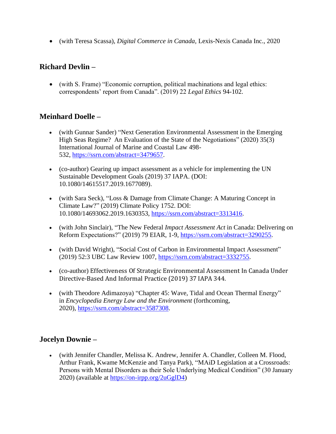• (with Teresa Scassa), *Digital Commerce in Canada,* Lexis-Nexis Canada Inc., 2020

# **Richard Devlin –**

• (with S. Frame) "Economic corruption, political machinations and legal ethics: correspondents' report from Canada". (2019) 22 *Legal Ethics* 94-102.

# **Meinhard Doelle –**

- (with Gunnar Sander) "Next Generation Environmental Assessment in the Emerging High Seas Regime? An Evaluation of the State of the Negotiations" (2020) 35(3) International Journal of Marine and Coastal Law 498- 532, [https://ssrn.com/abstract=3479657.](https://ssrn.com/abstract=3479657)
- (co-author) Gearing up impact assessment as a vehicle for implementing the UN Sustainable Development Goals (2019) 37 IAPA. (DOI: 10.1080/14615517.2019.1677089).
- (with Sara Seck), "Loss & Damage from Climate Change: A Maturing Concept in Climate Law?" (2019) Climate Policy 1752. DOI: 10.1080/14693062.2019.1630353, [https://ssrn.com/abstract=3313416.](https://ssrn.com/abstract=3313416)
- (with John Sinclair), "The New Federal *Impact Assessment Act* in Canada: Delivering on Reform Expectations?" (2019) 79 EIAR, 1-9, [https://ssrn.com/abstract=3290255.](https://ssrn.com/abstract=3290255)
- (with David Wright), "Social Cost of Carbon in Environmental Impact Assessment" (2019) 52:3 UBC Law Review 1007, [https://ssrn.com/abstract=3332755.](https://ssrn.com/abstract=3332755)
- (co-author) Effectiveness Of Strategic Environmental Assessment In Canada Under Directive-Based And Informal Practice (2019) 37 IAPA 344.
- (with Theodore Adimazoya) "Chapter 45: Wave, Tidal and Ocean Thermal Energy" in *Encyclopedia Energy Law and the Environment* (forthcoming, 2020), [https://ssrn.com/abstract=3587308.](https://ssrn.com/abstract=3587308)

# **Jocelyn Downie –**

• (with Jennifer Chandler, Melissa K. Andrew, Jennifer A. Chandler, Colleen M. Flood, Arthur Frank, Kwame McKenzie and Tanya Park), "MAiD Legislation at a Crossroads: Persons with Mental Disorders as their Sole Underlying Medical Condition" (30 January 2020) (available at [https://on-irpp.org/2uGglD4\)](https://on-irpp.org/2uGglD4)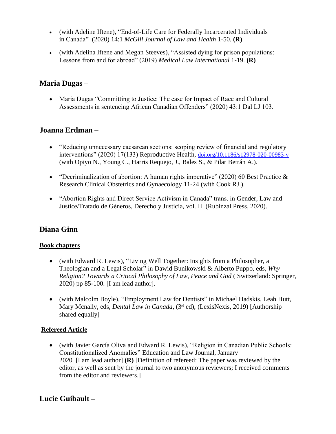- (with Adeline Iftene), "End-of-Life Care for Federally Incarcerated Individuals in Canada" (2020) 14:1 *McGill Journal of Law and Health* 1-50. **(R)**
- (with Adelina Iftene and Megan Steeves), "Assisted dying for prison populations: Lessons from and for abroad" (2019) *Medical Law International* 1-19. **(R)**

# **Maria Dugas –**

• Maria Dugas "Committing to Justice: The case for Impact of Race and Cultural Assessments in sentencing African Canadian Offenders" (2020) 43:1 Dal LJ 103.

# **Joanna Erdman –**

- "Reducing unnecessary caesarean sections: scoping review of financial and regulatory interventions" (2020) 17(133) Reproductive Health, [doi.org/10.1186/s12978-020-00983-y](http://doi.org/10.1186/s12978-020-00983-y) (with Opiyo N., Young C., Harris Requejo, J., Bales S., & Pilar Betrán A.).
- "Decriminalization of abortion: A human rights imperative" (2020) 60 Best Practice  $\&$ Research Clinical Obstetrics and Gynaecology 11-24 (with Cook RJ.).
- "Abortion Rights and Direct Service Activism in Canada" trans. in Gender, Law and Justice/Tratado de Géneros, Derecho y Justicia, vol. II. (Rubinzal Press, 2020).

# **Diana Ginn –**

#### **Book chapters**

- (with Edward R. Lewis), "Living Well Together: Insights from a Philosopher, a Theologian and a Legal Scholar" in Dawid Bunikowski & Alberto Puppo*,* eds, *Why Religion? Towards a Critical Philosophy of Law, Peace and God* ( Switzerland: Springer, 2020) pp 85-100. [I am lead author].
- (with Malcolm Boyle), "Employment Law for Dentists" in Michael Hadskis, Leah Hutt, Mary Mcnally, eds, *Dental Law in Canada*, (3rd ed), (LexisNexis, 2019) [Authorship shared equally]

### **Refereed Article**

• (with Javier García Oliva and Edward R. Lewis)*,* "Religion in Canadian Public Schools: Constitutionalized Anomalies" Education and Law Journal, January 2020 [I am lead author] **(R)** [Definition of refereed: The paper was reviewed by the editor, as well as sent by the journal to two anonymous reviewers; I received comments from the editor and reviewers.]

# **Lucie Guibault –**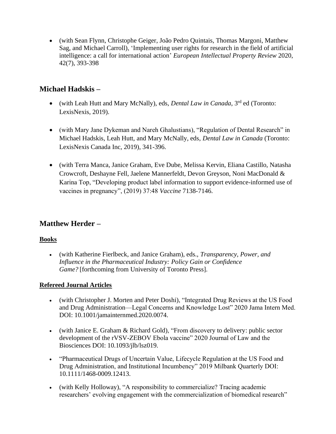• (with Sean Flynn, Christophe Geiger, João Pedro Quintais, Thomas Margoni, Matthew Sag, and Michael Carroll), 'Implementing user rights for research in the field of artificial intelligence: a call for international action' *European Intellectual Property Review* 2020, 42(7), 393-398

# **Michael Hadskis –**

- (with Leah Hutt and Mary McNally), eds, *Dental Law in Canada*, 3rd ed (Toronto: LexisNexis, 2019).
- (with Mary Jane Dykeman and Nareh Ghalustians), "Regulation of Dental Research" in Michael Hadskis, Leah Hutt, and Mary McNally, eds, *Dental Law in Canada* (Toronto: LexisNexis Canada Inc, 2019), 341-396.
- (with Terra Manca, Janice Graham, Eve Dube, Melissa Kervin, Eliana Castillo, Natasha Crowcroft, Deshayne Fell, Jaelene Mannerfeldt, Devon Greyson, Noni MacDonald & Karina Top, "Developing product label information to support evidence-informed use of vaccines in pregnancy", (2019) 37:48 *Vaccine* 7138-7146.

# **Matthew Herder –**

### **Books**

• (with Katherine Fierlbeck, and Janice Graham), eds., *Transparency, Power, and Influence in the Pharmaceutical Industry: Policy Gain or Confidence Game?* [forthcoming from University of Toronto Press].

#### **Refereed Journal Articles**

- (with Christopher J. Morten and Peter Doshi), "Integrated Drug Reviews at the US Food and Drug Administration—Legal Concerns and Knowledge Lost" 2020 Jama Intern Med. DOI: 10.1001/jamainternmed.2020.0074.
- (with Janice E. Graham & Richard Gold), "From discovery to delivery: public sector development of the rVSV-ZEBOV Ebola vaccine" 2020 Journal of Law and the Biosciences DOI: 10.1093/jlb/lsz019.
- "Pharmaceutical Drugs of Uncertain Value, Lifecycle Regulation at the US Food and Drug Administration, and Institutional Incumbency" 2019 Milbank Quarterly DOI: 10.1111/1468-0009.12413.
- (with Kelly Holloway), "A responsibility to commercialize? Tracing academic researchers' evolving engagement with the commercialization of biomedical research"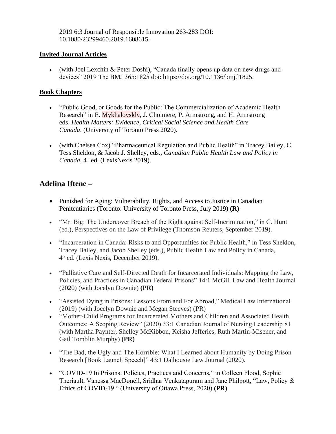2019 6:3 Journal of Responsible Innovation 263-283 DOI: 10.1080/23299460.2019.1608615.

#### **Invited Journal Articles**

• (with Joel Lexchin & Peter Doshi), "Canada finally opens up data on new drugs and devices" 2019 The BMJ 365:1825 doi: https://doi.org/10.1136/bmj.l1825.

#### **Book Chapters**

- "Public Good, or Goods for the Public: The Commercialization of Academic Health Research" in E. Mykhalovskly, J. Choiniere, P. Armstrong, and H. Armstrong eds. *Health Matters: Evidence, Critical Social Science and Health Care Canada*. (University of Toronto Press 2020).
- (with Chelsea Cox) "Pharmaceutical Regulation and Public Health" in Tracey Bailey, C. Tess Sheldon, & Jacob J. Shelley, eds., *Canadian Public Health Law and Policy in*  Canada, 4<sup>th</sup> ed. (LexisNexis 2019).

# **Adelina Iftene –**

- Punished for Aging: Vulnerability, Rights, and Access to Justice in Canadian Penitentiaries (Toronto: University of Toronto Press, July 2019) **(R)**
- "Mr. Big: The Undercover Breach of the Right against Self-Incrimination," in C. Hunt (ed.), Perspectives on the Law of Privilege (Thomson Reuters, September 2019).
- "Incarceration in Canada: Risks to and Opportunities for Public Health," in Tess Sheldon, Tracey Bailey, and Jacob Shelley (eds.), Public Health Law and Policy in Canada, 4 th ed. (Lexis Nexis, December 2019).
- "Palliative Care and Self-Directed Death for Incarcerated Individuals: Mapping the Law, Policies, and Practices in Canadian Federal Prisons" 14:1 McGill Law and Health Journal (2020) (with Jocelyn Downie) **(PR)**
- "Assisted Dying in Prisons: Lessons From and For Abroad," Medical Law International (2019) (with Jocelyn Downie and Megan Steeves) (PR)
- "Mother-Child Programs for Incarcerated Mothers and Children and Associated Health Outcomes: A Scoping Review" (2020) 33:1 Canadian Journal of Nursing Leadership 81 (with Martha Paynter, Shelley McKibbon, Keisha Jefferies, Ruth Martin-Misener, and Gail Tomblin Murphy) **(PR)**
- "The Bad, the Ugly and The Horrible: What I Learned about Humanity by Doing Prison Research [Book Launch Speech]" 43:1 Dalhousie Law Journal (2020).
- "COVID-19 In Prisons: Policies, Practices and Concerns," in Colleen Flood, Sophie Theriault, Vanessa MacDonell, Sridhar Venkatapuram and Jane Philpott, "Law, Policy & Ethics of COVID-19 " (University of Ottawa Press, 2020) **(PR)**.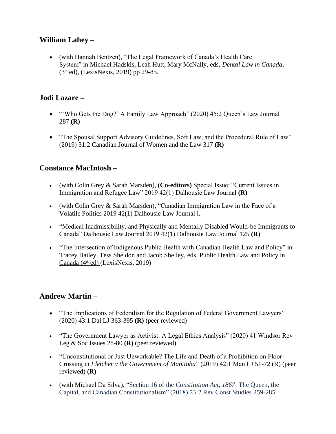# **William Lahey –**

• (with Hannah Bentzen), "The Legal Framework of Canada's Health Care System" in Michael Hadskis, Leah Hutt, Mary McNally, eds, *Dental Law in Canada*, (3rd ed), (LexisNexis, 2019) pp 29-85.

### **Jodi Lazare –**

- "Who Gets the Dog?' A Family Law Approach" (2020) 45:2 Queen's Law Journal 287 **(R)**
- "The Spousal Support Advisory Guidelines, Soft Law, and the Procedural Rule of Law" (2019) 31:2 Canadian Journal of Women and the Law 317 **(R)**

# **Constance MacIntosh –**

- (with Colin Grey & Sarah Marsden), **(Co-editors)** Special Issue: "Current Issues in Immigration and Refugee Law" 2019 42(1) Dalhousie Law Journal **(R)**
- (with Colin Grey & Sarah Marsden), "Canadian Immigration Law in the Face of a Volatile Politics 2019 42(1) Dalhousie Law Journal i.
- "Medical Inadmissibility, and Physically and Mentally Disabled Would-be Immigrants to Canada" Dalhousie Law Journal 2019 42(1) Dalhousie Law Journal 125 **(R)**
- "The Intersection of Indigenous Public Health with Canadian Health Law and Policy" in Tracey Bailey, Tess Sheldon and Jacob Shelley, eds, Public Health Law and Policy in Canada (4<sup>th</sup> ed) (LexisNexis, 2019)

# **Andrew Martin –**

- "The Implications of Federalism for the Regulation of Federal Government Lawyers" (2020) 43:1 Dal LJ 363-395 **(R)** (peer reviewed)
- "The Government Lawyer as Activist: A Legal Ethics Analysis" (2020) 41 Windsor Rev Leg & Soc Issues 28-80 **(R)** (peer reviewed)
- "Unconstitutional or Just Unworkable? The Life and Death of a Prohibition on Floor-Crossing in *Fletcher v the Government of Manitoba*" (2019) 42:1 Man LJ 51-72 (R) (peer reviewed) **(R)**
- (with Michael Da Silva), "Section 16 of the *Constitution Act, 1867*: The Queen, the Capital, and Canadian Constitutionalism" (2018) 23:2 Rev Const Studies 259-285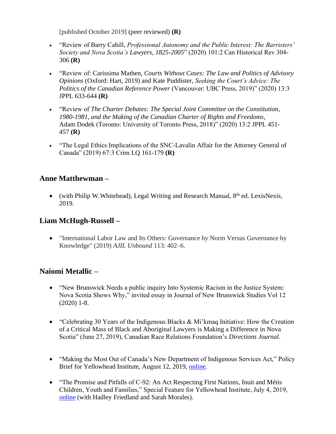[published October 2019] (peer reviewed) **(R)**

- "Review of Barry Cahill, *Professional Autonomy and the Public Interest: The Barristers' Society and Nova Scotia's Lawyers, 1825-2005*" (2020) 101:2 Can Historical Rev 304- 306 **(R)**
- "Review of: Carissima Mathen, *Courts Without Cases: The Law and Politics of Advisory Opinions* (Oxford: Hart, 2019) and Kate Puddister, *Seeking the Court's Advice: The Politics of the Canadian Reference Power* (Vancouver: UBC Press, 2019)" (2020) 13:3 JPPL 633-644 **(R)**
- "Review of *The Charter Debates: The Special Joint Committee on the Constitution, 1980-1981, and the Making of the Canadian Charter of Rights and Freedoms*, Adam Dodek (Toronto: University of Toronto Press, 2018)" (2020) 13:2 JPPL 451- 457 **(R)**
- "The Legal Ethics Implications of the SNC-Lavalin Affair for the Attorney General of Canada" (2019) 67:3 Crim LQ 161-179 **(R)**

# **Anne Matthewman –**

• (with Philip W.Whitehead), Legal Writing and Research Manual,  $8<sup>th</sup>$  ed. LexisNexis, 2019.

# **Liam McHugh-Russell –**

• "International Labor Law and Its Others: Governance by Norm Versus Governance by Knowledge" (2019) *AJIL Unbound* 113: 402–6.

# **Naiomi Metallic –**

- "New Brunswick Needs a public inquiry Into Systemic Racism in the Justice System: Nova Scotia Shows Why," invited essay in Journal of New Brunswick Studies Vol 12 (2020) 1-8.
- "Celebrating 30 Years of the Indigenous Blacks & Mi'kmaq Initiative: How the Creation of a Critical Mass of Black and Aboriginal Lawyers is Making a Difference in Nova Scotia" (June 27, 2019), Canadian Race Relations Foundation's *Directions Journal*.
- "Making the Most Out of Canada's New Department of Indigenous Services Act," Policy Brief for Yellowhead Institute, August 12, 2019, [online.](https://yellowheadinstitute.org/2019/08/12/making-the-most-out-of-canadas-new-department-of-indigenous-services-act/)
- "The Promise and Pitfalls of C-92: An Act Respecting First Nations, Inuit and Métis Children, Youth and Families," Special Feature for Yellowhead Institute, July 4, 2019, [online](https://yellowheadinstitute.org/bill-c-92-analysis/) (with Hadley Friedland and Sarah Morales).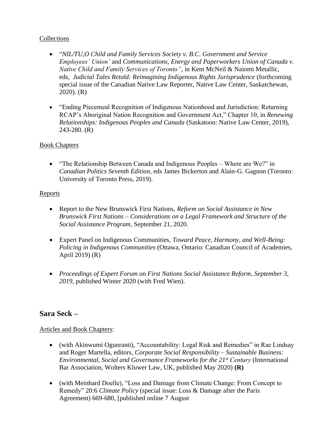#### **Collections**

- "*NIL/TU,O Child and Family Services Society v. B.C. Government and Service Employees' Union'* and *Communications, Energy and Paperworkers Union of Canada v. Native Child and Family Services of Toronto"*, in Kent McNeil & Naiomi Metallic, eds, *Judicial Tales Retold: Reimagining Indigenous Rights Jurisprudence* (forthcoming special issue of the Canadian Native Law Reporter, Native Law Center, Saskatchewan, 2020). (R)
- "Ending Piecemeal Recognition of Indigenous Nationhood and Jurisdiction: Returning RCAP's Aboriginal Nation Recognition and Government Act," Chapter 10, in *Renewing Relationships: Indigenous Peoples and Canada* (Saskatoon: Native Law Center, 2019), 243-280. (R)

#### Book Chapters

• "The Relationship Between Canada and Indigenous Peoples – Where are We?" in *Canadian Politics Seventh Edition*, eds James Bickerton and Alain-G. Gagnon (Toronto: University of Toronto Press, 2019).

#### **Reports**

- Report to the New Brunswick First Nations, *Reform on Social Assistance in New Brunswick First Nations – Considerations on a Legal Framework and Structure of the Social Assistance Program*, September 21, 2020.
- Expert Panel on Indigenous Communities, *Toward Peace, Harmony, and Well-Being: Policing in Indigenous Communities* (Ottawa, Ontario: Canadian Council of Academies, April 2019) (R)
- *Proceedings of Expert Forum on First Nations Social Assistance Reform*, *September 3, 2019,* published Winter 2020 (with Fred Wien).

### **Sara Seck –**

#### Articles and Book Chapters:

- (with Akinwumi Ogunranti), "Accountability: Legal Risk and Remedies" in Rae Lindsay and Roger Martella, editors, *Corporate Social Responsibility – Sustainable Business: Environmental, Social and Governance Frameworks for the 21st Century* (International Bar Association, Wolters Kluwer Law, UK, published May 2020) **(R)**
- (with Meinhard Doelle), "Loss and Damage from Climate Change: From Concept to Remedy" 20:6 *Climate Policy* (special issue: Loss & Damage after the Paris Agreement) 669-680, [published online 7 August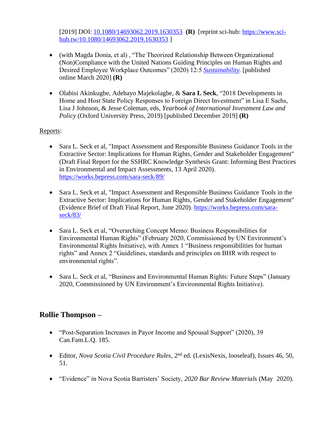[2019] DOI:[10.1080/14693062.2019.1630353](https://doi.org/10.1080/14693062.2019.1630353) **(R)** [reprint sci-hub: [https://www.sci](https://www.sci-hub.tw/10.1080/14693062.2019.1630353)[hub.tw/10.1080/14693062.2019.1630353](https://www.sci-hub.tw/10.1080/14693062.2019.1630353) ]

- (with Magda Donia, et al) , "The Theorized Relationship Between Organizational (Non)Compliance with the United Nations Guiding Principles on Human Rights and Desired Employee Workplace Outcomes" (2020) 12:5 *[Sustainability.](https://www.mdpi.com/2071-1050/12/5/2130)*[published online March 2020] **(R)**
- Olabisi Akinkugbe, Adebayo Majekolagbe, & **Sara L Seck**, "2018 Developments in Home and Host State Policy Responses to Foreign Direct Investment" in Lisa E Sachs, Lisa J Johnson, & Jesse Coleman, eds, *Yearbook of International Investment Law and Policy* (Oxford University Press, 2019) [published December 2019] **(R)**

### Reports:

- Sara L. Seck et al, "Impact Assessment and Responsible Business Guidance Tools in the Extractive Sector: Implications for Human Rights, Gender and Stakeholder Engagement" (Draft Final Report for the SSHRC Knowledge Synthesis Grant: Informing Best Practices in Environmental and Impact Assessments, 13 April 2020). <https://works.bepress.com/sara-seck/89/>
- Sara L. Seck et al, "Impact Assessment and Responsible Business Guidance Tools in the Extractive Sector: Implications for Human Rights, Gender and Stakeholder Engagement" (Evidence Brief of Draft Final Report, June 2020). [https://works.bepress.com/sara](https://works.bepress.com/sara-seck/83/)[seck/83/](https://works.bepress.com/sara-seck/83/)
- Sara L. Seck et al, "Overarching Concept Memo: Business Responsibilities for Environmental Human Rights" (February 2020, Commissioned by UN Environment's Environmental Rights Initiative), with Annex 1 "Business responsibilities for human rights" and Annex 2 "Guidelines, standards and principles on BHR with respect to environmental rights".
- Sara L. Seck et al, "Business and Environmental Human Rights: Future Steps" (January 2020, Commissioned by UN Environment's Environmental Rights Initiative).

# **Rollie Thompson –**

- "Post-Separation Increases in Payor Income and Spousal Support" (2020), 39 Can.Fam.L.Q. 185.
- Editor, *Nova Scotia Civil Procedure Rules*, 2nd ed. (LexisNexis, looseleaf), Issues 46, 50, 51.
- "Evidence" in Nova Scotia Barristers' Society, *2020 Bar Review Materials* (May 2020).